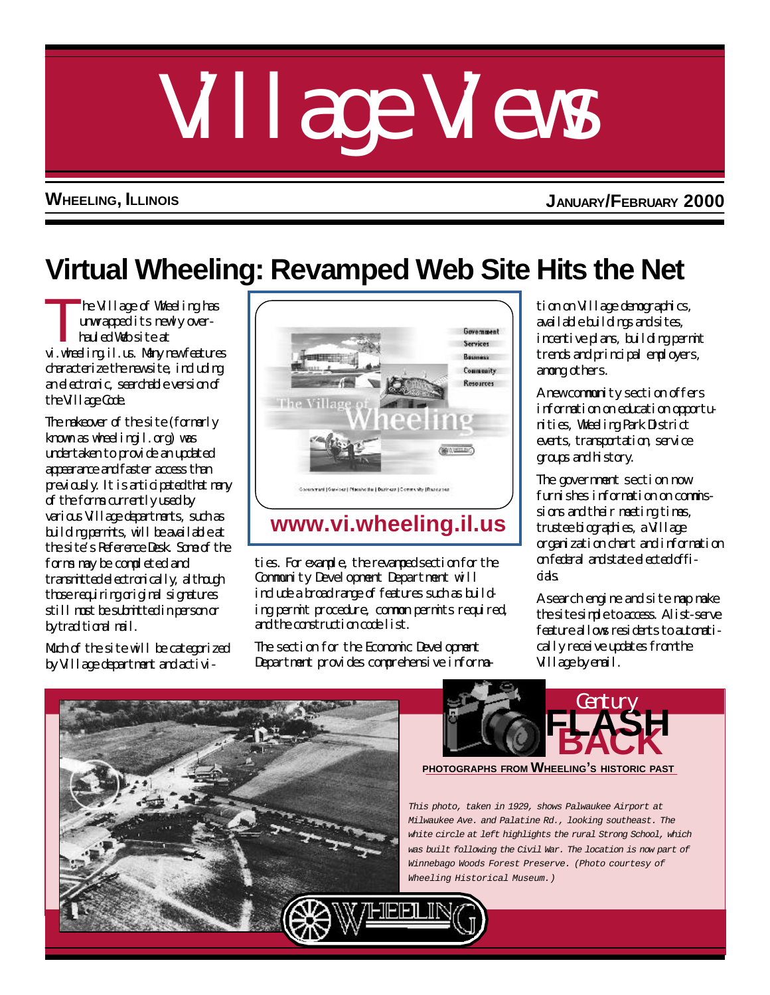# Village Views

**WHEELING, ILLINOIS JANUARY/FEBRUARY 2000**

# **Virtual Wheeling: Revamped Web Site Hits the Net**

T he Village of Wheeling has unwrapped its newly over hauled Web site at vi.wheeling.il.us. Many new features deracterize the new site, including an electronic, searchable version of the Village Code.

The makeover of the site (formerly known as wheelingil.org) was undertaken to provide an updated appearance and faster access than previously. It is articipated that many of the forms currently used by various Village departments, such as building permits, will be available at the site's Reference Desk. Some of the forms may be completed and transmitted electronically, although those requiring original signatures still must be submitted in person or by traditional mail.

Much of the site will be categorized by Village department and activi-



## **[www.vi.wheeling.il.us](http://wheelingil.gov/default.htm)**

ties. For example, the revamped section for the Community Development Department will include a broad range of features such as building permit procedure, common permits required, and the construction code list.

The section for the Economic Development Department provides comprehensive information on Village demographics, available buildings and sites, incentive plans, building permit trends and principal employers, among others.

A new community section offers information on education opportunities, Wheeling Park District events, transportation, service groups and history.

The government section now furnishes information on commissions and their meeting times, trustee biographies, a Village organization chart and information on federal and state elected offidas

A search engine and site map make the site simple to access. A list-serve feature allows residents to automatically receive updates from the Village by email.





**PHOTOGRAPHS FROM WHEELING'<sup>S</sup> HISTORIC PAST**

*This photo, taken in 1929, shows Palwaukee Airport at Milwaukee Ave. and Palatine Rd., looking southeast. The white circle at left highlights the rural Strong School, which was built following the Civil War. The location is now part of Winnebago Woods Forest Preserve. (Photo courtesy of Wheeling Historical Museum.)*

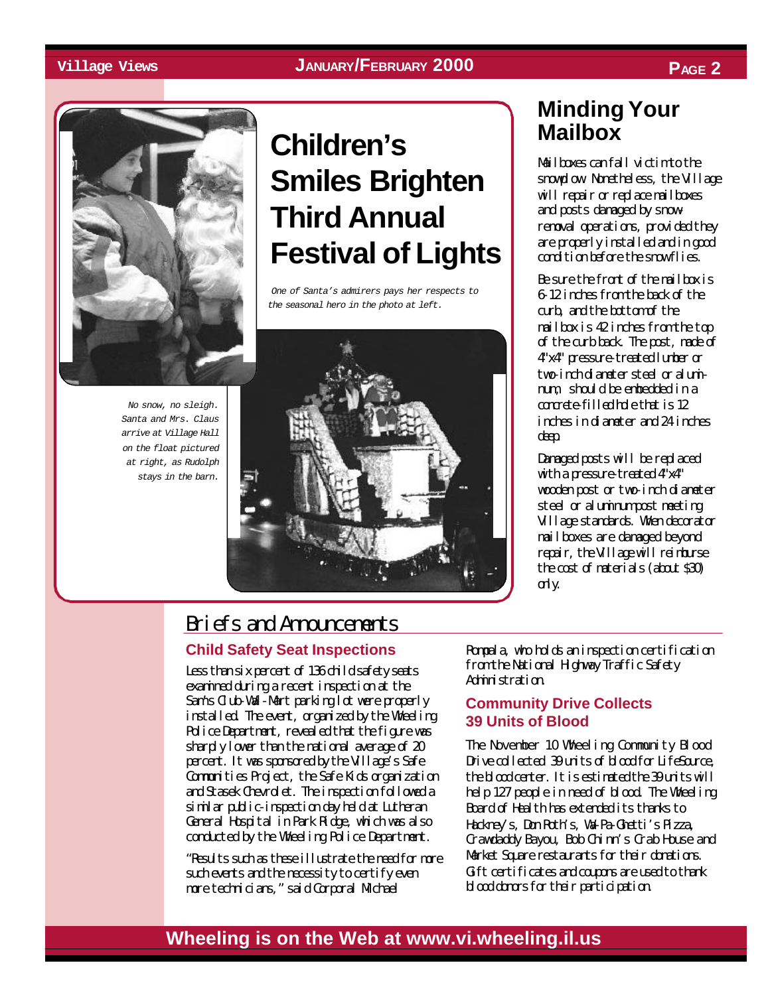#### **Village Views JANUARY/FEBRUARY 2000 PAGE 2**





*No snow, no sleigh. Santa and Mrs. Claus arrive at Village Hall on the float pictured at right, as Rudolph stays in the barn.*

**Children's Smiles Brighten Third Annual Festival of Lights**

 *One of Santa's admirers pays her respects to the seasonal hero in the photo at left.*



## **Minding Your Mailbox**

Mailboxes can fall victim to the snowplow. Nonetheless, the Village will repair or replace mailboxes and posts damaged by snowremoval operations, provided they are properly installed and in good condition before the snow flies.

Be sure the front of the mailbox is 6-12 inches from the back of the curb, and the bottom of the mailbox is 42 inches from the top of the curb back. The post, made of 4"x4" pressure-treated lumber or two-inch diameter steel or aluminum, should be embedded in a concrete-filled hole that is 12 inches in diameter and 24 inches deep.

Damaged posts will be replaced with a pressure-treated 4"x4" wooden post or two-inch diameter steel or aluminum post meeting Village standards. When decorator mailboxes are damaged beyond repair, the Village will reimburse the cost of materials (about \$30) only.

### Briefs and Announcements

#### **Child Safety Seat Inspections**

Less than six percent of 136 child safety seats examined during a recent inspection at the Sam's Club-Wal-Mart parking lot were properly installed. The event, organized by the Wheeling Police Department, revealed that the figure was sharply lower than the national average of 20 percent. It was sponsored by the Village's Safe Communities Project, the Safe Kids organization and Stasek Chevrolet. The inspection followed a similar public-inspection day held at Lutheran General Hospital in Park Ridge, which was also conducted by the Wheeling Police Department.

"Results such as these illustrate the need for more such events and the necessity to certify even more technicians," said Corporal Michael

Rompala, who holds an inspection certification from the National Highway Traffic Safety Administration.

#### **Community Drive Collects 39 Units of Blood**

The November 10 Wheeling Community Blood Drive collected 39 units of blood for LifeSource, the blood center. It is estimated the 39 units will help 127 people in need of blood. The Wheeling Board of Health has extended its thanks to Hackney's, Don Roth's, Wa-Pa-Ghetti's Pizza, Crawdaddy Bayou, Bob Chinn's Crab House and Market Square restaurants for their donations. Gift certificates and coupons are used to thank blood donors for their participation.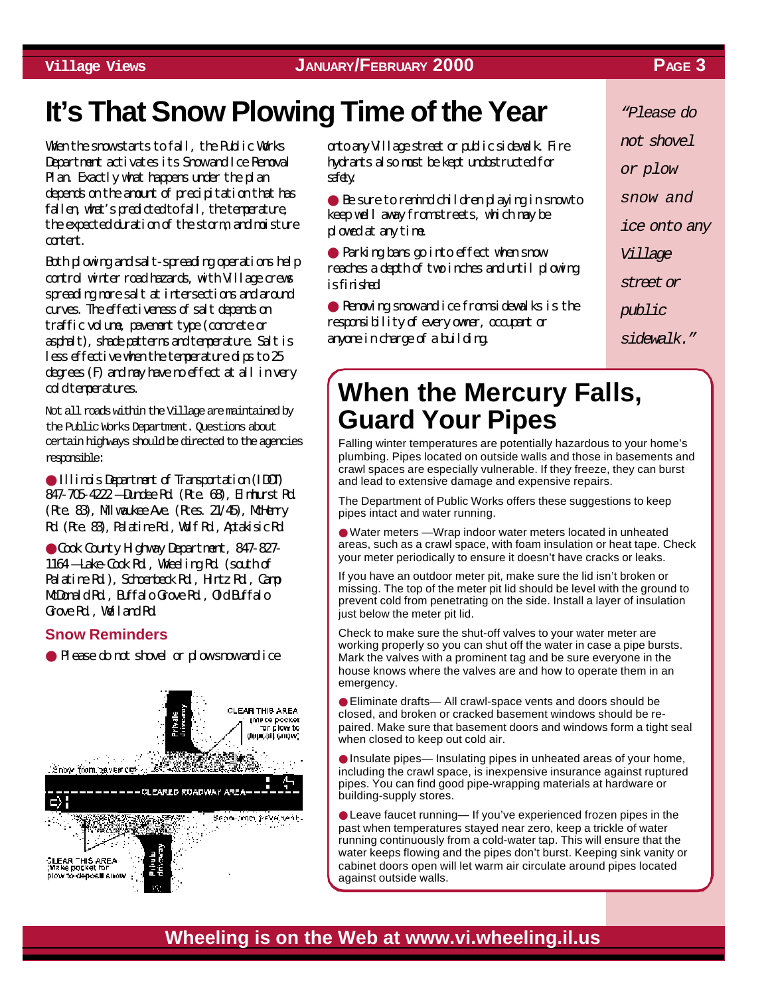#### **Village Views JANUARY/FEBRUARY 2000 PAGE 3**

# **It's That Snow Plowing Time of the Year** *"Please do*

When the snow starts to fall, the Public Works Department activates its Snow and Ice Removal Plan. Exactly what happens under the plan depends on the amount of precipitation that has fallen, what's predicted to fall, the temperature, the expected duration of the storm, and moisture content.

Both plowing and salt-spreading operations help control winter road hazards, with Village crews spreading more salt at intersections and around curves. The effectiveness of salt depends on traffic volume, pavement type (concrete or asphalt), shade patterns and temperature. Salt is less effective when the temperature dips to 25 degrees (F) and may have no effect at all in very cold temperatures.

Not all roads within the Village are maintained by the Public Works Department. Questions about certain highways should be directed to the agencies responsible:

● Illinois Department of Transportation (IDOT) 847-705-4222 — Dundee Rd. (Rte. 68), Elmhurst Rd. (Rte. 83), Mlwarkee Ave. (Rtes. 21/45), Milenry Rd. (Rte. 83), Palatine Rd., Wolf Rd., Aptakisic Rd.

● Cook County Highway Department, 847-827- 1164 — Lake-Cook Rd., Wheeling Rd. (south of Palatine Rd.), Schoenbeck Rd., Hintz Rd., Camp McDonald Rd., Buffalo Grove Rd., Old Buffalo Grove Rd., Weiland Rd.

#### **Snow Reminders**

● Please do not shovel or plow snow and ice



onto any Village street or public sidewalk. Fire hydrants also must be kept unobstructed for safety.

● Be sure to remind children playing in snow to keep well away from streets, which may be plowed at any time.

● Parking bans go into effect when snow reaches a depth of two inches and until plowing is finished.

● Removing snow and ice from sidewalks is the responsibility of every owner, occupant or anyone in charge of a building.

*not shovel or plow snow and ice onto any Village street or public sidewalk."*

## **When the Mercury Falls, Guard Your Pipes**

Falling winter temperatures are potentially hazardous to your home's plumbing. Pipes located on outside walls and those in basements and crawl spaces are especially vulnerable. If they freeze, they can burst and lead to extensive damage and expensive repairs.

The Department of Public Works offers these suggestions to keep pipes intact and water running.

● Water meters —Wrap indoor water meters located in unheated areas, such as a crawl space, with foam insulation or heat tape. Check your meter periodically to ensure it doesn't have cracks or leaks.

If you have an outdoor meter pit, make sure the lid isn't broken or missing. The top of the meter pit lid should be level with the ground to prevent cold from penetrating on the side. Install a layer of insulation just below the meter pit lid.

Check to make sure the shut-off valves to your water meter are working properly so you can shut off the water in case a pipe bursts. Mark the valves with a prominent tag and be sure everyone in the house knows where the valves are and how to operate them in an emergency.

● Eliminate drafts— All crawl-space vents and doors should be closed, and broken or cracked basement windows should be repaired. Make sure that basement doors and windows form a tight seal when closed to keep out cold air.

● Insulate pipes— Insulating pipes in unheated areas of your home, including the crawl space, is inexpensive insurance against ruptured pipes. You can find good pipe-wrapping materials at hardware or building-supply stores.

● Leave faucet running— If you've experienced frozen pipes in the past when temperatures stayed near zero, keep a trickle of water running continuously from a cold-water tap. This will ensure that the water keeps flowing and the pipes don't burst. Keeping sink vanity or cabinet doors open will let warm air circulate around pipes located against outside walls.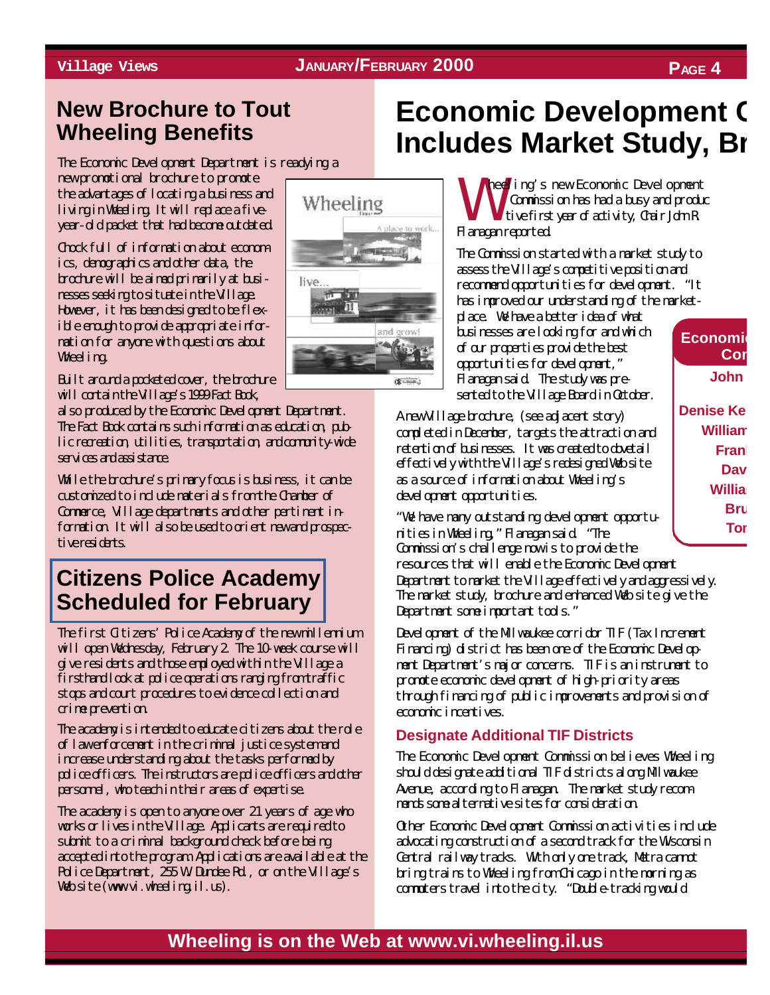## **New Brochure to Tout Wheeling Benefits**

The Economic Development Department is readying a

new promotional brochure to promote the advantages of locating a business and living in Wheeling. It will replace a fiveyear-old packet that had become outdated.

Chock full of information about economics, demographics and other data, the brochure will be aimed primarily at businesses seeking to situate in the Village. However, it has been designed to be flexible enough to provide appropriate information for anyone with questions about Wheeling.

Built around a pocketed cover, the brochure will contain the Village's 1999 Fact Book,

also produced by the Economic Development Department. The Fact Book contains such information as education, public recreation, utilities, transportation, and community-wide services and assistance.

While the brochure's primary focus is business, it can be customized to include materials from the Chamber of Commerce, Village departments and other pertinent information. It will also be used to orient new and prospectiversidents

## **[Citizens Police Academy](http://wheelingil.gov/Services/Police/CitizensPoliceAcademy.htm) Scheduled for February**

The first Citizens' Police Academy of the new millennium will open Wednesday, February 2. The 10-week course will give residents and those employed within the Village a firsthand look at police operations ranging from traffic stops and court procedures to evidence collection and crime prevention.

The academy is intended to educate citizens about the role of law enforcement in the criminal justice system and increase understanding about the tasks performed by police officers. The instructors are police officers and other personnel, who teach in their areas of expertise.

The academy is open to anyone over 21 years of age who works or lives in the Village. Applicants are required to submit to a criminal background check before being accepted into the program. Applications are available at the Police Department, 255 W. Dundee Rd., or on the Village's Web site (www.vi.wheeling.il.us).



# **Economic Development C Includes Market Study, Br**

W heeling's new Economic Development Commission has had a busy and produc tive first year of activity, Chair John R. Flanagan reported.

The Commission started with a market study to assess the Village's competitive position and recommend opportunities for development. "It has improved our understanding of the market-

place. We have a better idea of what businesses are looking for and which of our properties provide the best opportunities for development," Flanagan said. The study was presented to the Village Board in October.

A new Village brochure, (see adjacent story) completed in December, targets the attraction and retention of businesses. It was created to dovetail effectively with the Village's redesigned Web site as a source of information about Wheeling's development opportunities.

"We have many outstanding development opportunities in Wheeling," Flanagan said. "The Commission's challenge now is to provide the resources that will enable the Economic Development Department to market the Village effectively and aggressively. The market study, brochure and enhanced Web site give the Department some important tools."

Development of the Milwaukee corridor TIF (Tax Increment Financing) district has been one of the Economic Development Department's major concerns. TIF is an instrument to promote economic development of high-priority areas through financing of public improvements and provision of economic incentives.

#### **Designate Additional TIF Districts**

The Economic Development Commission believes Wheeling should designate additional TIF districts along Milwaukee Avenue, according to Flanagan. The market study recommends some alternative sites for consideration.

Other Economic Development Commission activities include advocating construction of a second track for the Wisconsin Central railway tracks. With only one track, Metra cannot bring trains to Wheeling from Chicago in the morning as commuters travel into the city. "Double-tracking would

# **Village Views JANUARY/FEBRUARY 2000 PAGE 4**

**Economic Com John** 

**Denise Ken William Frank Dav William Bru Tor**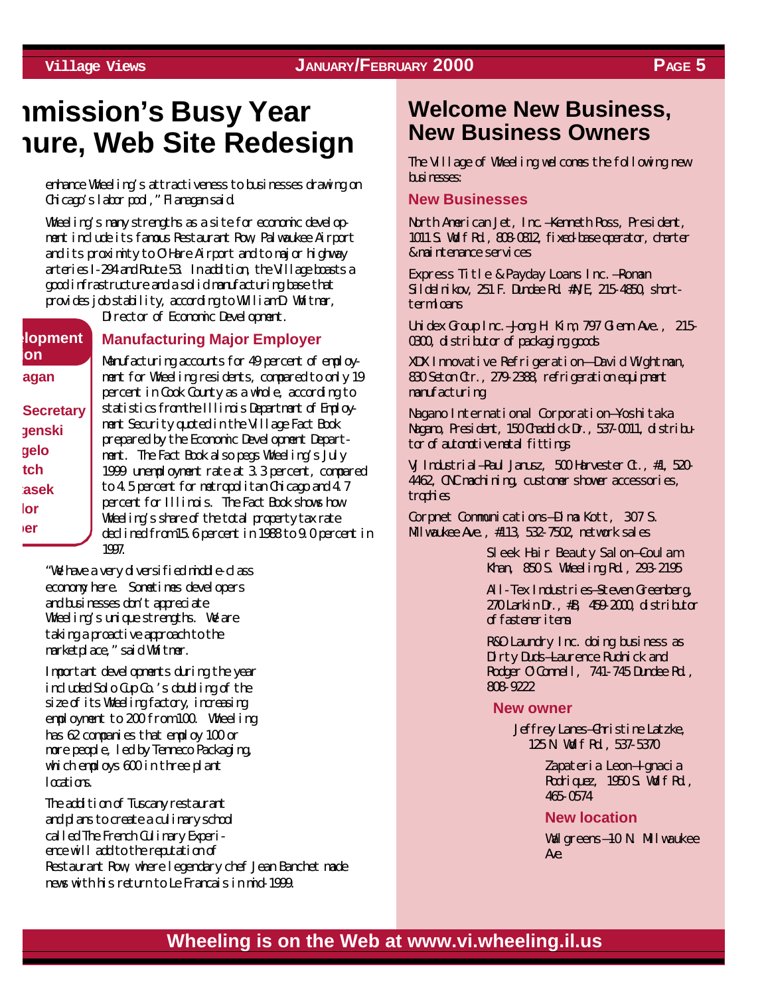## **mmission's Busy Year hure, Web Site Redesign**

enhance Wheeling's attractiveness to businesses drawing on Chicago's labor pool," Flanagan said.

Wheeling's many strengths as a site for economic development include its famous Restaurant Row, Palwaukee Airport and its proximity to O'Hare Airport and to major highway arteries I-294 and Route 53. In addition, the Village boasts a good infrastructure and a solid manufacturing base that provides job stability, according to William D. Whitmer,

Director of Economic Development.

**elopment ion agan Secretary genski gelo tch**

**tasek lor ber**

#### **Manufacturing Major Employer**

Manufacturing accounts for 49 percent of employment for Wheeling residents, compared to only 19 percent in Cook County as a whole, according to statistics from the Illinois Department of Employment Security quoted in the Village Fact Book prepared by the Economic Development Department. The Fact Book also pegs Wheeling's July 1999 unemployment rate at 3.3 percent, compared to 4.5 percent for metropolitan Chicago and 4.7 percent for Illinois. The Fact Book shows how Wheeling's share of the total property tax rate declined from 15.6 percent in 1988 to 9.0 percent in 1997.

"We have a very diversified middle-class economy here. Sometimes developers and businesses don't appreciate Wheeling's unique strengths. We are taking a proactive approach to the marketplace," said Whitmer.

Important developments during the year included Solo Cup Co.'s doubling of the size of its Wheeling factory, increasing employment to 200 from 100. Wheeling has 62 companies that employ 100 or more people, led by Tenneco Packaging, which employs 600 in three plant locations.

The addition of Tuscany restaurant and plans to create a culinary school called The French Culinary Experience will add to the reputation of Restaurant Row, where legendary chef Jean Banchet made news with his return to Le Francais in mid-1999.

## **Welcome New Business, New Business Owners**

The Village of Wheeling welcomes the following new businesses:

#### **New Businesses**

North American Jet, Inc.—Kenneth Ross, President, 1011 S. Wolf Rd., 808-0812, fixed-base operator, charter & maintenance services

Express Title & Payday Loans Inc.—Roman Sildelnikov, 251 F. Dundee Rd. #N/E, 215-4850, shorttermloans

Unidex Group Inc.—Jong H. Kim, 797 Glenn Ave., 215- 0300, distributor of packaging goods

XDX Innovative Refrigeration— David Wightman, 830 Seton Ctr., 279-2388, refrigeration equipment manufacturing

Nagano International Corporation—Yoshitaka Nagano, President, 150 Chaddick Dr., 537-0011, distributor of automotive metal fittings

VJ Industrial—Paul Janusz, 500 Harvester Ct., #1, 520- 4462, CNC machining, customer shower accessories, trophies

Corpnet Communications—Dima Kott, 307 S. Milwaukee Ave., #113, 532-7502, network sales

> Sleek Hair Beauty Salon—Coulam Khan, 850 S. Wheeling Rd., 293-2195

All-Tex Industrie<del>s S</del>teven Greenberg, 270 Larkin Dr., #B, 459-2000, distributor of fastener items

R&O Laundry Inc. doing business as Dirty Duds-Laurence Rudnick and Rodger O'Connell, 741-745 Dundee Rd., 808-9222

#### **New owner**

Jeffrey Lanes—Christine Latzke, 125 N. Wolf Rd., 537-5370

> Zapateria Leon—Ignacia Rodriquez, 1950 S. Walf Rd., 465-0574

#### **New location**

Walgreens–10 N. Milwaukee Ave.

## **Village Views JANUARY/FEBRUARY 2000 PAGE 5**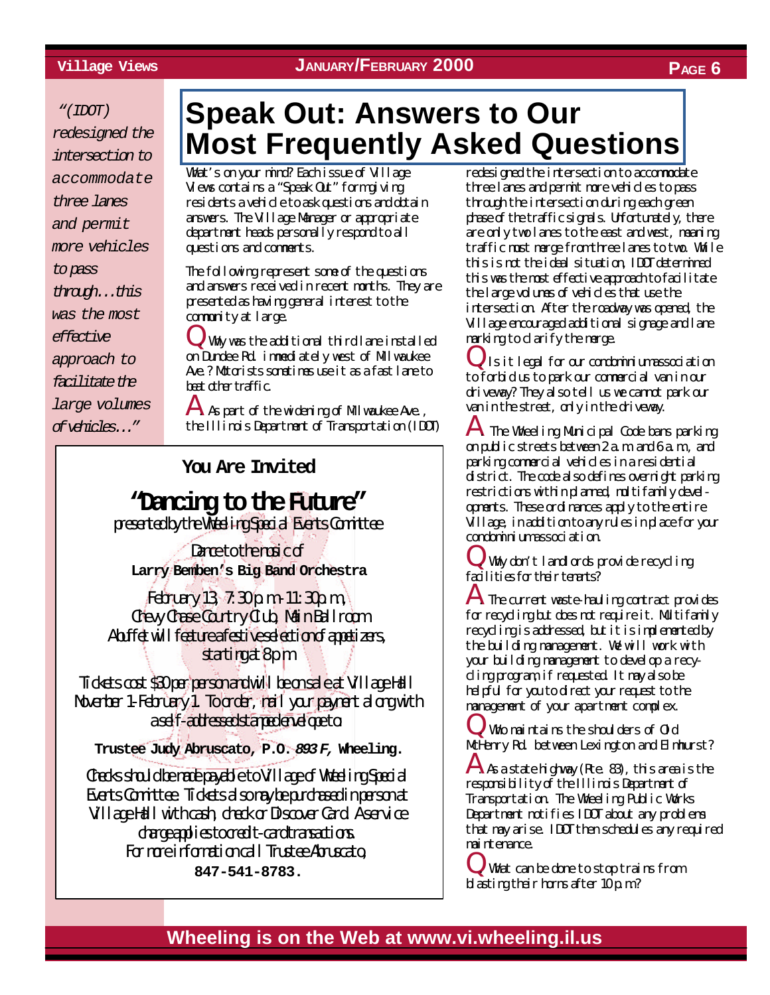#### **Village Views JANUARY/FEBRUARY 2000 PAGE 6**

 *"(IDOT)*

*redesigned the intersection to accommodate three lanes and permit more vehicles to pass through...this was the most effective approach to facilitate the large volumes*

*of vehicles..."*

# **Speak Out: Answers to Our [Most Frequently Asked Questions](http://wheelingil.gov/ReferenceDesk/FAQ.htm)**

What's on your mind? Each issue of Village Views contains a "Speak Out" form giving residents a vehicle to ask questions and obtain answers. The Village Manager or appropriate department heads personally respond to all questions and comments.

The following represent some of the questions and answers received in recent months. They are presented as having general interest to the community at large.

 $\downarrow$ , Why was the additional third lane installed on Dundee Rd. immediately west of Milwaukee Ave.? Motorists sometimes use it as a fast lane to beat other traffic.

 $\bf A$  As part of the widening of M lwaukee Ave., the Illinois Department of Transportation (IDOT)

**You Are Invited**

### **"Dancing to the Future"** presented by the Wheeling Special Events Committee

Dance to the majc of **Larry Bemben's Big Band Orchestra**

 $F_{\rm{c}}$ Edruary 13,  $7:30 \text{ p.m.}$  11:30 $\text{p.m.}$ Chevy Chase Country Club, Main Ballroom A buffet will feature a festive selection of a patizers, starting at 8pm

Tidets cost \$30 per person and will be on sale at Village Hall November 1-February 1. To order, mail your payment along with aself-athessed stampeden elepto

**Trustee Judy Abruscato, P.O.** *893F,* **Wheeling.**

Checks should be made payable to Village of Wheeling Special Events Committee. Tidets also may be purchased in person at Village Hall with cash, check or Discover Card A service dage applies to credit-card transactions. For more information call Trustee Abruscato **847-541-8783.**

redesigned the intersection to accommodate three lanes and permit more vehicles to pass through the intersection during each green phase of the traffic signals. Unfortunately, there are only two lanes to the east and west, meaning traffic must merge from three lanes to two. While this is not the ideal situation, IDOT determined this was the most effective approach to facilitate the large volumes of vehicles that use the intersection. After the roadway was opened, the Village encouraged additional signage and lane marking to clarify the merge.

Q. Is it legal for our condominium association to forbid us to park our commercial van in our driveway? They also tell us we cannot park our van in the street, only in the driveway.

The Wheeling Municipal Code bans parking on public streets between 2 a.m. and 6 a.m., and parking commercial vehicles in a residential district. The code also defines overnight parking restrictions within planned, multifamily developments. These ordinances apply to the entire Village, in addition to any rules in place for your condominium association.

Why don't landlords provide recycling facilities for their tenants?

 ${\bf A}$  The current waste-hauling contract provides for recycling but does not require it. Multifamily recycling is addressed, but it is implemented by the building management. We will work with your building management to develop a recycling program, if requested. It may also be helpful for you to direct your request to the management of your apartment complex.

Q. Who maintains the shoulders of Old MoHenry Rd. between Lexington and Elmhurst?

 $A$  As a state highway (Rte. 83), this area is the responsibility of the Illinois Department of Transportation. The Wheeling Public Works Department notifies IDOT about any problems that may arise. IDOT then schedules any required maintenance.

Q. What can be done to stop trains from blasting their horns after 10 p.m.?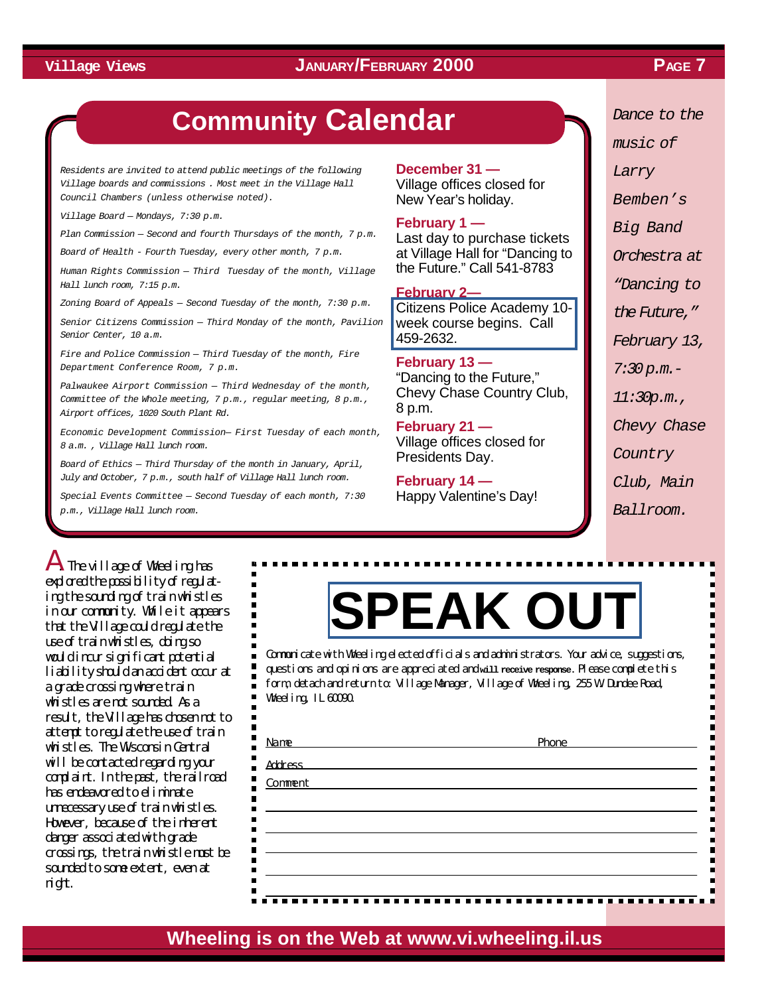#### **Village Views PAGE 7 JANUARY/FEBRUARY 2000**

## **Community Calendar**

*Residents are invited to attend public meetings of the following Village boards and commissions . Most meet in the Village Hall Council Chambers (unless otherwise noted).*

*Village Board — Mondays, 7:30 p.m.*

*Plan Commission — Second and fourth Thursdays of the month, 7 p.m.*

*Board of Health - Fourth Tuesday, every other month, 7 p.m.*

*Human Rights Commission — Third Tuesday of the month, Village Hall lunch room, 7:15 p.m.*

*Zoning Board of Appeals — Second Tuesday of the month, 7:30 p.m.*

*Senior Citizens Commission — Third Monday of the month, Pavilion Senior Center, 10 a.m.*

*Fire and Police Commission — Third Tuesday of the month, Fire Department Conference Room, 7 p.m.*

*Palwaukee Airport Commission — Third Wednesday of the month, Committee of the Whole meeting, 7 p.m., regular meeting, 8 p.m., Airport offices, 1020 South Plant Rd.*

*Economic Development Commission— First Tuesday of each month, 8 a.m. , Village Hall lunch room.*

*Board of Ethics — Third Thursday of the month in January, April, July and October, 7 p.m., south half of Village Hall lunch room.*

*Special Events Committee — Second Tuesday of each month, 7:30 p.m., Village Hall lunch room.*

 $\blacksquare$ 

**December 31 —** Village offices closed for

New Year's holiday.

**February 1 —** Last day to purchase tickets at Village Hall for "Dancing to

the Future." Call 541-8783

**February 2—** [Citizens Police Academy 10](http://wheelingil.gov/Services/Police/CitizensPoliceAcademy.htm) week course begins. Call 459-2632.

**February 13 —** "Dancing to the Future," Chevy Chase Country Club, 8 p.m.

**February 21 —** Village offices closed for Presidents Day.

**February 14 —** Happy Valentine's Day! *Dance to the music of Larry Bemben's Big Band Orchestra at "Dancing to the Future," February 13, 7:30 p.m.- 11:30p.m., Chevy Chase Country*

*Club, Main*

*Ballroom.*

A. The village of Wheeling has explored the possibility of regulating the sounding of train whistles in our community. While it appears that the Village could regulate the use of train whistles, doing so would incur significant potential liability should an accident occur at a grade crossing where train whistles are not sounded. As a result, the Village has chosen not to attempt to regulate the use of train whistles. The Wisconsin Central will be contacted regarding your complaint. In the past, the railroad has endeavored to eliminate unnecessary use of train whistles. However, because of the inherent danger associated with grade crossings, the train whistle must be sounded to some extent, even at night.

# **[SPEAK OUT](http://wheelingil.gov/ReferenceDesk/FeedbackForm.htm)**

Communicate with Wheeling elected officials and administrators. Your advice, suggestions, questions and opinions are appreciated and **will receive response.** Please complete this form, detach and return to: Village Manager, Village of Wheeling, 255 W. Dundee Road, Wheeling, IL 60090.

| Name                                                                                                                                    | Phone |
|-----------------------------------------------------------------------------------------------------------------------------------------|-------|
| <b>Address</b><br><u> 1989 - Andrea Barbara, amerikan personal di personal dengan personal dengan personal dengan personal dengan p</u> |       |
| Comment                                                                                                                                 |       |
|                                                                                                                                         |       |
|                                                                                                                                         |       |
|                                                                                                                                         |       |
|                                                                                                                                         |       |